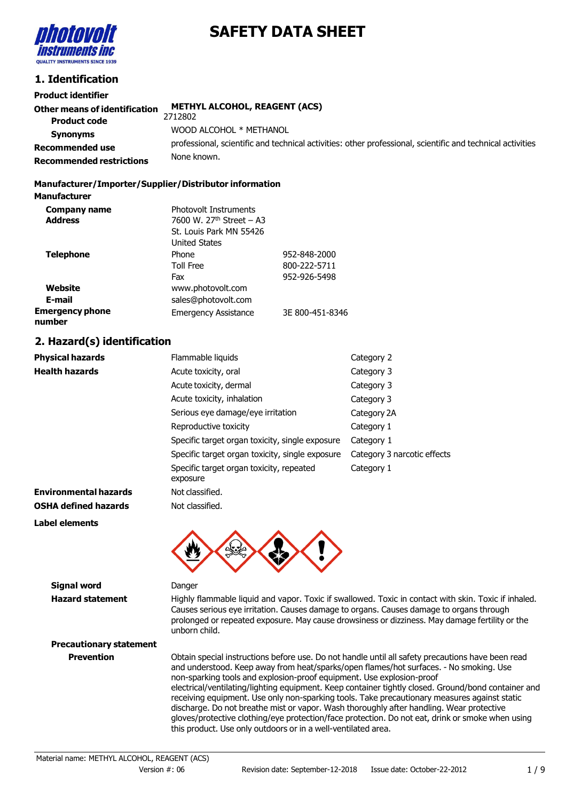

# **SAFETY DATA SHEET**

#### **1. Identification**

| <b>Product identifier</b>       |                                                                                                            |
|---------------------------------|------------------------------------------------------------------------------------------------------------|
| Other means of identification   | <b>METHYL ALCOHOL, REAGENT (ACS)</b>                                                                       |
| <b>Product code</b>             | 2712802                                                                                                    |
| <b>Synonyms</b>                 | WOOD ALCOHOL * METHANOL                                                                                    |
| <b>Recommended use</b>          | professional, scientific and technical activities: other professional, scientific and technical activities |
| <b>Recommended restrictions</b> | None known.                                                                                                |

#### **Manufacturer/Importer/Supplier/Distributor information**

| <b>Manufacturer</b>              |                                      |                 |
|----------------------------------|--------------------------------------|-----------------|
| <b>Company name</b>              | <b>Photovolt Instruments</b>         |                 |
| <b>Address</b>                   | 7600 W. 27 <sup>th</sup> Street - A3 |                 |
|                                  | St. Louis Park MN 55426              |                 |
|                                  | United States                        |                 |
| <b>Telephone</b>                 | Phone                                | 952-848-2000    |
|                                  | <b>Toll Free</b>                     | 800-222-5711    |
|                                  | Fax                                  | 952-926-5498    |
| Website                          | www.photovolt.com                    |                 |
| E-mail                           | sales@photovolt.com                  |                 |
| <b>Emergency phone</b><br>number | <b>Emergency Assistance</b>          | 3E 800-451-8346 |

#### **2. Hazard(s) identification**

| <b>Physical hazards</b>      | Flammable liquids<br>Category 2                      |                             |  |  |
|------------------------------|------------------------------------------------------|-----------------------------|--|--|
| <b>Health hazards</b>        | Acute toxicity, oral                                 | Category 3                  |  |  |
|                              | Acute toxicity, dermal                               | Category 3                  |  |  |
|                              | Acute toxicity, inhalation                           | Category 3                  |  |  |
|                              | Serious eye damage/eye irritation                    | Category 2A                 |  |  |
|                              | Reproductive toxicity                                | Category 1                  |  |  |
|                              | Specific target organ toxicity, single exposure      | Category 1                  |  |  |
|                              | Specific target organ toxicity, single exposure      | Category 3 narcotic effects |  |  |
|                              | Specific target organ toxicity, repeated<br>exposure | Category 1                  |  |  |
| <b>Environmental hazards</b> | Not classified.                                      |                             |  |  |
| <b>OSHA defined hazards</b>  | Not classified.                                      |                             |  |  |
| <b>Label elements</b>        |                                                      |                             |  |  |



| Signal word                    | Danger                                                                                                                                                                                                                                                                                                             |  |  |
|--------------------------------|--------------------------------------------------------------------------------------------------------------------------------------------------------------------------------------------------------------------------------------------------------------------------------------------------------------------|--|--|
| <b>Hazard statement</b>        | Highly flammable liquid and vapor. Toxic if swallowed. Toxic in contact with skin. Toxic if inhaled.<br>Causes serious eye irritation. Causes damage to organs. Causes damage to organs through<br>prolonged or repeated exposure. May cause drowsiness or dizziness. May damage fertility or the<br>unborn child. |  |  |
| <b>Precautionary statement</b> |                                                                                                                                                                                                                                                                                                                    |  |  |
| <b>Prevention</b>              | Obtain special instructions before use. Do not handle until all safety precautions have been read<br>and understood. Keep away from boat/sparks/open flames/bot surfaces - No smoking Use                                                                                                                          |  |  |

and understood. Keep away from heat/sparks/open flames/hot surfaces. - No smoking. Use non-sparking tools and explosion-proof equipment. Use explosion-proof electrical/ventilating/lighting equipment. Keep container tightly closed. Ground/bond container and receiving equipment. Use only non-sparking tools. Take precautionary measures against static discharge. Do not breathe mist or vapor. Wash thoroughly after handling. Wear protective gloves/protective clothing/eye protection/face protection. Do not eat, drink or smoke when using this product. Use only outdoors or in a well-ventilated area.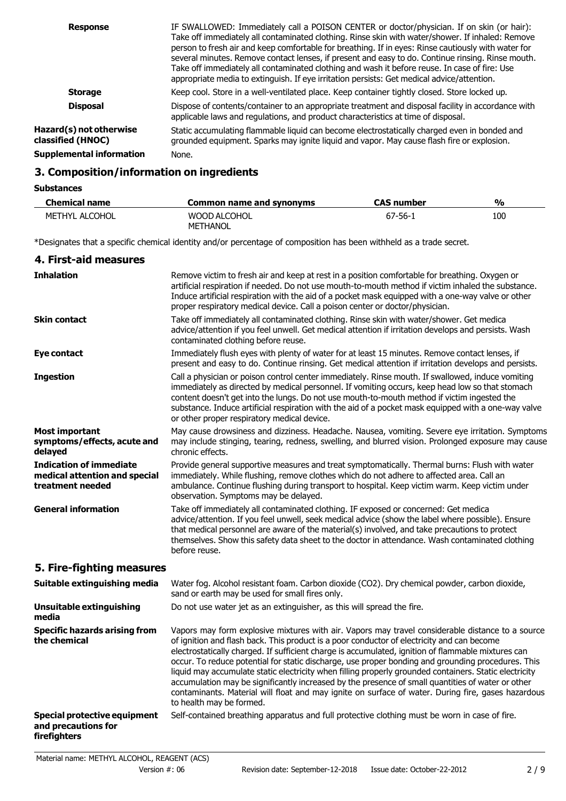| <b>Response</b>                              | IF SWALLOWED: Immediately call a POISON CENTER or doctor/physician. If on skin (or hair):<br>Take off immediately all contaminated clothing. Rinse skin with water/shower. If inhaled: Remove<br>person to fresh air and keep comfortable for breathing. If in eyes: Rinse cautiously with water for<br>several minutes. Remove contact lenses, if present and easy to do. Continue rinsing. Rinse mouth.<br>Take off immediately all contaminated clothing and wash it before reuse. In case of fire: Use<br>appropriate media to extinguish. If eye irritation persists: Get medical advice/attention. |  |  |  |  |
|----------------------------------------------|----------------------------------------------------------------------------------------------------------------------------------------------------------------------------------------------------------------------------------------------------------------------------------------------------------------------------------------------------------------------------------------------------------------------------------------------------------------------------------------------------------------------------------------------------------------------------------------------------------|--|--|--|--|
| <b>Storage</b>                               | Keep cool. Store in a well-ventilated place. Keep container tightly closed. Store locked up.                                                                                                                                                                                                                                                                                                                                                                                                                                                                                                             |  |  |  |  |
| <b>Disposal</b>                              | Dispose of contents/container to an appropriate treatment and disposal facility in accordance with<br>applicable laws and regulations, and product characteristics at time of disposal.                                                                                                                                                                                                                                                                                                                                                                                                                  |  |  |  |  |
| Hazard(s) not otherwise<br>classified (HNOC) | Static accumulating flammable liquid can become electrostatically charged even in bonded and<br>grounded equipment. Sparks may ignite liquid and vapor. May cause flash fire or explosion.                                                                                                                                                                                                                                                                                                                                                                                                               |  |  |  |  |
| <b>Supplemental information</b>              | None.                                                                                                                                                                                                                                                                                                                                                                                                                                                                                                                                                                                                    |  |  |  |  |

## **3. Composition/information on ingredients**

**Substances**

| <b>Chemical name</b> | Common name and synonyms | <b>CAS number</b> | %   |
|----------------------|--------------------------|-------------------|-----|
| METHYL ALCOHOL       | WOOD ALCOHOL             | $67 - 56 - 1$     | 100 |
|                      | METHANOL                 |                   |     |

\*Designates that a specific chemical identity and/or percentage of composition has been withheld as a trade secret.

| 4. First-aid measures                                                               |                                                                                                                                                                                                                                                                                                                                                                                                                                                                                                                                                                                                                                                                                                                                                             |
|-------------------------------------------------------------------------------------|-------------------------------------------------------------------------------------------------------------------------------------------------------------------------------------------------------------------------------------------------------------------------------------------------------------------------------------------------------------------------------------------------------------------------------------------------------------------------------------------------------------------------------------------------------------------------------------------------------------------------------------------------------------------------------------------------------------------------------------------------------------|
| <b>Inhalation</b>                                                                   | Remove victim to fresh air and keep at rest in a position comfortable for breathing. Oxygen or<br>artificial respiration if needed. Do not use mouth-to-mouth method if victim inhaled the substance.<br>Induce artificial respiration with the aid of a pocket mask equipped with a one-way valve or other<br>proper respiratory medical device. Call a poison center or doctor/physician.                                                                                                                                                                                                                                                                                                                                                                 |
| <b>Skin contact</b>                                                                 | Take off immediately all contaminated clothing. Rinse skin with water/shower. Get medica<br>advice/attention if you feel unwell. Get medical attention if irritation develops and persists. Wash<br>contaminated clothing before reuse.                                                                                                                                                                                                                                                                                                                                                                                                                                                                                                                     |
| <b>Eye contact</b>                                                                  | Immediately flush eyes with plenty of water for at least 15 minutes. Remove contact lenses, if<br>present and easy to do. Continue rinsing. Get medical attention if irritation develops and persists.                                                                                                                                                                                                                                                                                                                                                                                                                                                                                                                                                      |
| <b>Ingestion</b>                                                                    | Call a physician or poison control center immediately. Rinse mouth. If swallowed, induce vomiting<br>immediately as directed by medical personnel. If vomiting occurs, keep head low so that stomach<br>content doesn't get into the lungs. Do not use mouth-to-mouth method if victim ingested the<br>substance. Induce artificial respiration with the aid of a pocket mask equipped with a one-way valve<br>or other proper respiratory medical device.                                                                                                                                                                                                                                                                                                  |
| <b>Most important</b><br>symptoms/effects, acute and<br>delayed                     | May cause drowsiness and dizziness. Headache. Nausea, vomiting. Severe eye irritation. Symptoms<br>may include stinging, tearing, redness, swelling, and blurred vision. Prolonged exposure may cause<br>chronic effects.                                                                                                                                                                                                                                                                                                                                                                                                                                                                                                                                   |
| <b>Indication of immediate</b><br>medical attention and special<br>treatment needed | Provide general supportive measures and treat symptomatically. Thermal burns: Flush with water<br>immediately. While flushing, remove clothes which do not adhere to affected area. Call an<br>ambulance. Continue flushing during transport to hospital. Keep victim warm. Keep victim under<br>observation. Symptoms may be delayed.                                                                                                                                                                                                                                                                                                                                                                                                                      |
| <b>General information</b>                                                          | Take off immediately all contaminated clothing. IF exposed or concerned: Get medica<br>advice/attention. If you feel unwell, seek medical advice (show the label where possible). Ensure<br>that medical personnel are aware of the material(s) involved, and take precautions to protect<br>themselves. Show this safety data sheet to the doctor in attendance. Wash contaminated clothing<br>before reuse.                                                                                                                                                                                                                                                                                                                                               |
| 5. Fire-fighting measures                                                           |                                                                                                                                                                                                                                                                                                                                                                                                                                                                                                                                                                                                                                                                                                                                                             |
| Suitable extinguishing media                                                        | Water fog. Alcohol resistant foam. Carbon dioxide (CO2). Dry chemical powder, carbon dioxide,<br>sand or earth may be used for small fires only.                                                                                                                                                                                                                                                                                                                                                                                                                                                                                                                                                                                                            |
| Unsuitable extinguishing<br>media                                                   | Do not use water jet as an extinguisher, as this will spread the fire.                                                                                                                                                                                                                                                                                                                                                                                                                                                                                                                                                                                                                                                                                      |
| <b>Specific hazards arising from</b><br>the chemical                                | Vapors may form explosive mixtures with air. Vapors may travel considerable distance to a source<br>of ignition and flash back. This product is a poor conductor of electricity and can become<br>electrostatically charged. If sufficient charge is accumulated, ignition of flammable mixtures can<br>occur. To reduce potential for static discharge, use proper bonding and grounding procedures. This<br>liquid may accumulate static electricity when filling properly grounded containers. Static electricity<br>accumulation may be significantly increased by the presence of small quantities of water or other<br>contaminants. Material will float and may ignite on surface of water. During fire, gases hazardous<br>to health may be formed. |
| <b>Special protective equipment</b><br>and precautions for<br>firefighters          | Self-contained breathing apparatus and full protective clothing must be worn in case of fire.                                                                                                                                                                                                                                                                                                                                                                                                                                                                                                                                                                                                                                                               |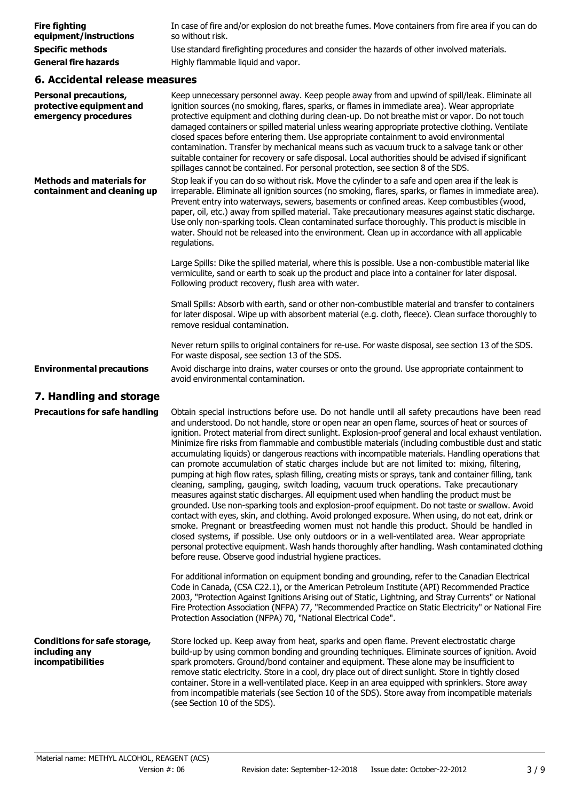| <b>Fire fighting</b><br>equipment/instructions                                   | In case of fire and/or explosion do not breathe fumes. Move containers from fire area if you can do<br>so without risk.                                                                                                                                                                                                                                                                                                                                                                                                                                                                                                                                                                                                                                                                                                                                                                                                                                                                                                                                                                                                                                                                                                                                                                                                                                                                                                                                                                            |  |  |  |  |  |
|----------------------------------------------------------------------------------|----------------------------------------------------------------------------------------------------------------------------------------------------------------------------------------------------------------------------------------------------------------------------------------------------------------------------------------------------------------------------------------------------------------------------------------------------------------------------------------------------------------------------------------------------------------------------------------------------------------------------------------------------------------------------------------------------------------------------------------------------------------------------------------------------------------------------------------------------------------------------------------------------------------------------------------------------------------------------------------------------------------------------------------------------------------------------------------------------------------------------------------------------------------------------------------------------------------------------------------------------------------------------------------------------------------------------------------------------------------------------------------------------------------------------------------------------------------------------------------------------|--|--|--|--|--|
| <b>Specific methods</b>                                                          | Use standard firefighting procedures and consider the hazards of other involved materials.                                                                                                                                                                                                                                                                                                                                                                                                                                                                                                                                                                                                                                                                                                                                                                                                                                                                                                                                                                                                                                                                                                                                                                                                                                                                                                                                                                                                         |  |  |  |  |  |
| <b>General fire hazards</b>                                                      | Highly flammable liquid and vapor.                                                                                                                                                                                                                                                                                                                                                                                                                                                                                                                                                                                                                                                                                                                                                                                                                                                                                                                                                                                                                                                                                                                                                                                                                                                                                                                                                                                                                                                                 |  |  |  |  |  |
| 6. Accidental release measures                                                   |                                                                                                                                                                                                                                                                                                                                                                                                                                                                                                                                                                                                                                                                                                                                                                                                                                                                                                                                                                                                                                                                                                                                                                                                                                                                                                                                                                                                                                                                                                    |  |  |  |  |  |
| <b>Personal precautions,</b><br>protective equipment and<br>emergency procedures | Keep unnecessary personnel away. Keep people away from and upwind of spill/leak. Eliminate all<br>ignition sources (no smoking, flares, sparks, or flames in immediate area). Wear appropriate<br>protective equipment and clothing during clean-up. Do not breathe mist or vapor. Do not touch<br>damaged containers or spilled material unless wearing appropriate protective clothing. Ventilate<br>closed spaces before entering them. Use appropriate containment to avoid environmental<br>contamination. Transfer by mechanical means such as vacuum truck to a salvage tank or other<br>suitable container for recovery or safe disposal. Local authorities should be advised if significant<br>spillages cannot be contained. For personal protection, see section 8 of the SDS.                                                                                                                                                                                                                                                                                                                                                                                                                                                                                                                                                                                                                                                                                                          |  |  |  |  |  |
| <b>Methods and materials for</b><br>containment and cleaning up                  | Stop leak if you can do so without risk. Move the cylinder to a safe and open area if the leak is<br>irreparable. Eliminate all ignition sources (no smoking, flares, sparks, or flames in immediate area).<br>Prevent entry into waterways, sewers, basements or confined areas. Keep combustibles (wood,<br>paper, oil, etc.) away from spilled material. Take precautionary measures against static discharge.<br>Use only non-sparking tools. Clean contaminated surface thoroughly. This product is miscible in<br>water. Should not be released into the environment. Clean up in accordance with all applicable<br>regulations.                                                                                                                                                                                                                                                                                                                                                                                                                                                                                                                                                                                                                                                                                                                                                                                                                                                             |  |  |  |  |  |
|                                                                                  | Large Spills: Dike the spilled material, where this is possible. Use a non-combustible material like<br>vermiculite, sand or earth to soak up the product and place into a container for later disposal.<br>Following product recovery, flush area with water.                                                                                                                                                                                                                                                                                                                                                                                                                                                                                                                                                                                                                                                                                                                                                                                                                                                                                                                                                                                                                                                                                                                                                                                                                                     |  |  |  |  |  |
|                                                                                  | Small Spills: Absorb with earth, sand or other non-combustible material and transfer to containers<br>for later disposal. Wipe up with absorbent material (e.g. cloth, fleece). Clean surface thoroughly to<br>remove residual contamination.                                                                                                                                                                                                                                                                                                                                                                                                                                                                                                                                                                                                                                                                                                                                                                                                                                                                                                                                                                                                                                                                                                                                                                                                                                                      |  |  |  |  |  |
|                                                                                  | Never return spills to original containers for re-use. For waste disposal, see section 13 of the SDS.<br>For waste disposal, see section 13 of the SDS.                                                                                                                                                                                                                                                                                                                                                                                                                                                                                                                                                                                                                                                                                                                                                                                                                                                                                                                                                                                                                                                                                                                                                                                                                                                                                                                                            |  |  |  |  |  |
| <b>Environmental precautions</b>                                                 | Avoid discharge into drains, water courses or onto the ground. Use appropriate containment to<br>avoid environmental contamination.                                                                                                                                                                                                                                                                                                                                                                                                                                                                                                                                                                                                                                                                                                                                                                                                                                                                                                                                                                                                                                                                                                                                                                                                                                                                                                                                                                |  |  |  |  |  |
| 7. Handling and storage                                                          |                                                                                                                                                                                                                                                                                                                                                                                                                                                                                                                                                                                                                                                                                                                                                                                                                                                                                                                                                                                                                                                                                                                                                                                                                                                                                                                                                                                                                                                                                                    |  |  |  |  |  |
| <b>Precautions for safe handling</b>                                             | Obtain special instructions before use. Do not handle until all safety precautions have been read<br>and understood. Do not handle, store or open near an open flame, sources of heat or sources of<br>ignition. Protect material from direct sunlight. Explosion-proof general and local exhaust ventilation.<br>Minimize fire risks from flammable and combustible materials (including combustible dust and static<br>accumulating liquids) or dangerous reactions with incompatible materials. Handling operations that<br>can promote accumulation of static charges include but are not limited to: mixing, filtering,<br>pumping at high flow rates, splash filling, creating mists or sprays, tank and container filling, tank<br>cleaning, sampling, gauging, switch loading, vacuum truck operations. Take precautionary<br>measures against static discharges. All equipment used when handling the product must be<br>grounded. Use non-sparking tools and explosion-proof equipment. Do not taste or swallow. Avoid<br>contact with eyes, skin, and clothing. Avoid prolonged exposure. When using, do not eat, drink or<br>smoke. Pregnant or breastfeeding women must not handle this product. Should be handled in<br>closed systems, if possible. Use only outdoors or in a well-ventilated area. Wear appropriate<br>personal protective equipment. Wash hands thoroughly after handling. Wash contaminated clothing<br>before reuse. Observe good industrial hygiene practices. |  |  |  |  |  |
|                                                                                  | For additional information on equipment bonding and grounding, refer to the Canadian Electrical<br>Code in Canada, (CSA C22.1), or the American Petroleum Institute (API) Recommended Practice<br>2003, "Protection Against Ignitions Arising out of Static, Lightning, and Stray Currents" or National<br>Fire Protection Association (NFPA) 77, "Recommended Practice on Static Electricity" or National Fire<br>Protection Association (NFPA) 70, "National Electrical Code".                                                                                                                                                                                                                                                                                                                                                                                                                                                                                                                                                                                                                                                                                                                                                                                                                                                                                                                                                                                                                   |  |  |  |  |  |
| Conditions for safe storage,<br>including any<br>incompatibilities               | Store locked up. Keep away from heat, sparks and open flame. Prevent electrostatic charge<br>build-up by using common bonding and grounding techniques. Eliminate sources of ignition. Avoid<br>spark promoters. Ground/bond container and equipment. These alone may be insufficient to<br>remove static electricity. Store in a cool, dry place out of direct sunlight. Store in tightly closed<br>container. Store in a well-ventilated place. Keep in an area equipped with sprinklers. Store away<br>from incompatible materials (see Section 10 of the SDS). Store away from incompatible materials<br>(see Section 10 of the SDS).                                                                                                                                                                                                                                                                                                                                                                                                                                                                                                                                                                                                                                                                                                                                                                                                                                                          |  |  |  |  |  |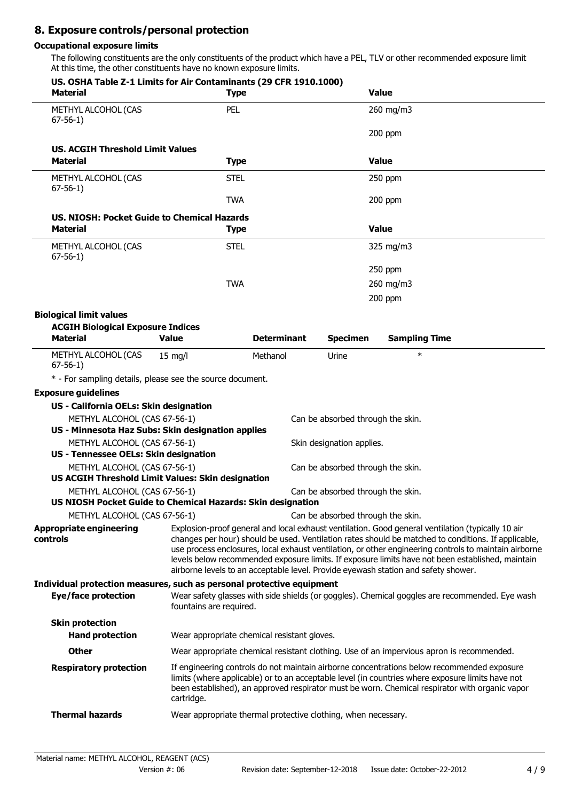# **8. Exposure controls/personal protection**

### **Occupational exposure limits**

The following constituents are the only constituents of the product which have a PEL, TLV or other recommended exposure limit At this time, the other constituents have no known exposure limits.

|                 | US. OSHA Table Z-1 Limits for Air Contaminants (29 CFR 1910.1000)<br><b>Material</b>                                             |                         | <b>Type</b>                                                                                                                                                                                                                                                                                                                                                                                                                                                                                                 |                                                               |                                   | <b>Value</b> |                                                                                                |
|-----------------|----------------------------------------------------------------------------------------------------------------------------------|-------------------------|-------------------------------------------------------------------------------------------------------------------------------------------------------------------------------------------------------------------------------------------------------------------------------------------------------------------------------------------------------------------------------------------------------------------------------------------------------------------------------------------------------------|---------------------------------------------------------------|-----------------------------------|--------------|------------------------------------------------------------------------------------------------|
|                 | METHYL ALCOHOL (CAS<br>$67-56-1)$                                                                                                |                         | PEL                                                                                                                                                                                                                                                                                                                                                                                                                                                                                                         |                                                               |                                   |              | 260 mg/m3                                                                                      |
|                 |                                                                                                                                  |                         |                                                                                                                                                                                                                                                                                                                                                                                                                                                                                                             |                                                               |                                   | 200 ppm      |                                                                                                |
|                 | <b>US. ACGIH Threshold Limit Values</b>                                                                                          |                         |                                                                                                                                                                                                                                                                                                                                                                                                                                                                                                             |                                                               |                                   |              |                                                                                                |
|                 | <b>Material</b>                                                                                                                  |                         | <b>Type</b>                                                                                                                                                                                                                                                                                                                                                                                                                                                                                                 |                                                               |                                   | <b>Value</b> |                                                                                                |
|                 | METHYL ALCOHOL (CAS<br>$67-56-1)$                                                                                                |                         | <b>STEL</b>                                                                                                                                                                                                                                                                                                                                                                                                                                                                                                 |                                                               |                                   | 250 ppm      |                                                                                                |
|                 |                                                                                                                                  |                         | <b>TWA</b>                                                                                                                                                                                                                                                                                                                                                                                                                                                                                                  |                                                               |                                   | 200 ppm      |                                                                                                |
|                 | US, NIOSH: Pocket Guide to Chemical Hazards                                                                                      |                         |                                                                                                                                                                                                                                                                                                                                                                                                                                                                                                             |                                                               |                                   |              |                                                                                                |
|                 | <b>Material</b>                                                                                                                  |                         | <b>Type</b>                                                                                                                                                                                                                                                                                                                                                                                                                                                                                                 |                                                               |                                   | <b>Value</b> |                                                                                                |
|                 | METHYL ALCOHOL (CAS<br>$67-56-1)$                                                                                                |                         | <b>STEL</b>                                                                                                                                                                                                                                                                                                                                                                                                                                                                                                 |                                                               |                                   |              | 325 mg/m3                                                                                      |
|                 |                                                                                                                                  |                         |                                                                                                                                                                                                                                                                                                                                                                                                                                                                                                             |                                                               |                                   | 250 ppm      |                                                                                                |
|                 |                                                                                                                                  |                         | <b>TWA</b>                                                                                                                                                                                                                                                                                                                                                                                                                                                                                                  |                                                               |                                   |              | 260 mg/m3                                                                                      |
|                 |                                                                                                                                  |                         |                                                                                                                                                                                                                                                                                                                                                                                                                                                                                                             |                                                               |                                   | 200 ppm      |                                                                                                |
|                 | <b>Biological limit values</b><br><b>ACGIH Biological Exposure Indices</b>                                                       |                         |                                                                                                                                                                                                                                                                                                                                                                                                                                                                                                             |                                                               |                                   |              |                                                                                                |
|                 | <b>Material</b>                                                                                                                  | <b>Value</b>            |                                                                                                                                                                                                                                                                                                                                                                                                                                                                                                             | <b>Determinant</b>                                            | <b>Specimen</b>                   |              | <b>Sampling Time</b>                                                                           |
|                 | METHYL ALCOHOL (CAS<br>$67-56-1)$                                                                                                | $15$ mg/l               |                                                                                                                                                                                                                                                                                                                                                                                                                                                                                                             | Methanol                                                      | Urine                             |              | $\ast$                                                                                         |
|                 | * - For sampling details, please see the source document.                                                                        |                         |                                                                                                                                                                                                                                                                                                                                                                                                                                                                                                             |                                                               |                                   |              |                                                                                                |
|                 | <b>Exposure guidelines</b>                                                                                                       |                         |                                                                                                                                                                                                                                                                                                                                                                                                                                                                                                             |                                                               |                                   |              |                                                                                                |
|                 | US - California OELs: Skin designation                                                                                           |                         |                                                                                                                                                                                                                                                                                                                                                                                                                                                                                                             |                                                               |                                   |              |                                                                                                |
|                 | METHYL ALCOHOL (CAS 67-56-1)<br>US - Minnesota Haz Subs: Skin designation applies                                                |                         |                                                                                                                                                                                                                                                                                                                                                                                                                                                                                                             |                                                               | Can be absorbed through the skin. |              |                                                                                                |
|                 | METHYL ALCOHOL (CAS 67-56-1)<br>Skin designation applies.<br>US - Tennessee OELs: Skin designation                               |                         |                                                                                                                                                                                                                                                                                                                                                                                                                                                                                                             |                                                               |                                   |              |                                                                                                |
|                 | METHYL ALCOHOL (CAS 67-56-1)<br>Can be absorbed through the skin.<br>US ACGIH Threshold Limit Values: Skin designation           |                         |                                                                                                                                                                                                                                                                                                                                                                                                                                                                                                             |                                                               |                                   |              |                                                                                                |
|                 | METHYL ALCOHOL (CAS 67-56-1)<br>Can be absorbed through the skin.<br>US NIOSH Pocket Guide to Chemical Hazards: Skin designation |                         |                                                                                                                                                                                                                                                                                                                                                                                                                                                                                                             |                                                               |                                   |              |                                                                                                |
|                 | METHYL ALCOHOL (CAS 67-56-1)                                                                                                     |                         |                                                                                                                                                                                                                                                                                                                                                                                                                                                                                                             |                                                               | Can be absorbed through the skin. |              |                                                                                                |
| <b>controls</b> | Appropriate engineering                                                                                                          |                         | Explosion-proof general and local exhaust ventilation. Good general ventilation (typically 10 air<br>changes per hour) should be used. Ventilation rates should be matched to conditions. If applicable,<br>use process enclosures, local exhaust ventilation, or other engineering controls to maintain airborne<br>levels below recommended exposure limits. If exposure limits have not been established, maintain<br>airborne levels to an acceptable level. Provide eyewash station and safety shower. |                                                               |                                   |              |                                                                                                |
|                 | Individual protection measures, such as personal protective equipment<br>Eye/face protection                                     | fountains are required. |                                                                                                                                                                                                                                                                                                                                                                                                                                                                                                             |                                                               |                                   |              | Wear safety glasses with side shields (or goggles). Chemical goggles are recommended. Eye wash |
|                 | <b>Skin protection</b><br><b>Hand protection</b>                                                                                 |                         |                                                                                                                                                                                                                                                                                                                                                                                                                                                                                                             | Wear appropriate chemical resistant gloves.                   |                                   |              |                                                                                                |
|                 | <b>Other</b>                                                                                                                     |                         |                                                                                                                                                                                                                                                                                                                                                                                                                                                                                                             |                                                               |                                   |              | Wear appropriate chemical resistant clothing. Use of an impervious apron is recommended.       |
|                 | <b>Respiratory protection</b>                                                                                                    | cartridge.              | If engineering controls do not maintain airborne concentrations below recommended exposure<br>limits (where applicable) or to an acceptable level (in countries where exposure limits have not<br>been established), an approved respirator must be worn. Chemical respirator with organic vapor                                                                                                                                                                                                            |                                                               |                                   |              |                                                                                                |
|                 | <b>Thermal hazards</b>                                                                                                           |                         |                                                                                                                                                                                                                                                                                                                                                                                                                                                                                                             | Wear appropriate thermal protective clothing, when necessary. |                                   |              |                                                                                                |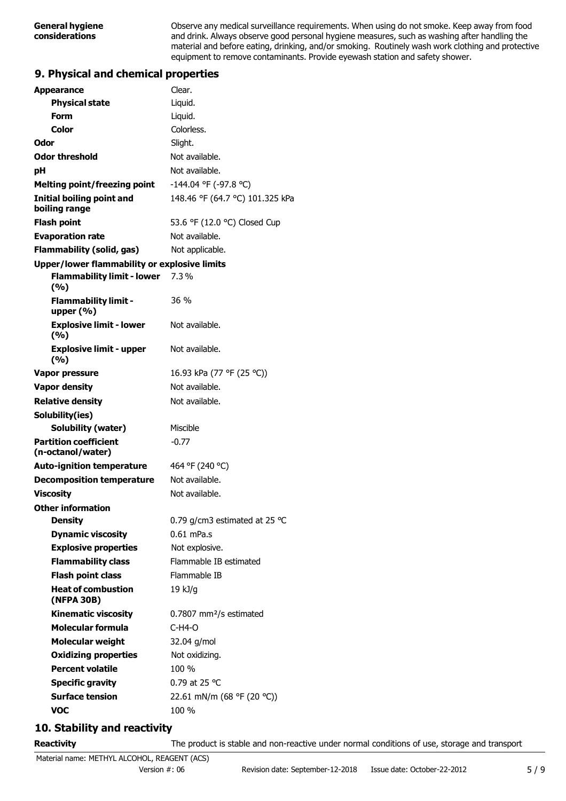Observe any medical surveillance requirements. When using do not smoke. Keep away from food and drink. Always observe good personal hygiene measures, such as washing after handling the material and before eating, drinking, and/or smoking. Routinely wash work clothing and protective equipment to remove contaminants. Provide eyewash station and safety shower.

#### **9. Physical and chemical properties**

| <b>Appearance</b>                                   | Clear.                                  |
|-----------------------------------------------------|-----------------------------------------|
| <b>Physical state</b>                               | Liquid.                                 |
| Form                                                | Liquid.                                 |
| Color                                               | Colorless.                              |
| Odor                                                | Slight.                                 |
| <b>Odor threshold</b>                               | Not available.                          |
| рH                                                  | Not available.                          |
| <b>Melting point/freezing point</b>                 | -144.04 °F (-97.8 °C)                   |
| <b>Initial boiling point and</b><br>boiling range   | 148.46 °F (64.7 °C) 101.325 kPa         |
| <b>Flash point</b>                                  | 53.6 °F (12.0 °C) Closed Cup            |
| <b>Evaporation rate</b>                             | Not available.                          |
| <b>Flammability (solid, gas)</b>                    | Not applicable.                         |
| <b>Upper/lower flammability or explosive limits</b> |                                         |
| <b>Flammability limit - lower</b><br>(%)            | 7.3%                                    |
| <b>Flammability limit -</b><br>upper (%)            | $36\%$                                  |
| <b>Explosive limit - lower</b><br>(%)               | Not available.                          |
| <b>Explosive limit - upper</b><br>(%)               | Not available.                          |
| Vapor pressure                                      | 16.93 kPa (77 °F (25 °C))               |
| <b>Vapor density</b>                                | Not available.                          |
| <b>Relative density</b>                             | Not available.                          |
| Solubility(ies)                                     |                                         |
| Solubility (water)                                  | Miscible                                |
| <b>Partition coefficient</b>                        | $-0.77$                                 |
| (n-octanol/water)                                   |                                         |
| <b>Auto-ignition temperature</b>                    | 464 °F (240 °C)                         |
| <b>Decomposition temperature</b>                    | Not available.                          |
| <b>Viscosity</b>                                    | Not available.                          |
| <b>Other information</b>                            |                                         |
| <b>Density</b>                                      | 0.79 g/cm3 estimated at 25 $^{\circ}$ C |
| <b>Dynamic viscosity</b>                            | 0.61 mPa.s                              |
| <b>Explosive properties</b>                         | Not explosive.                          |
| <b>Flammability class</b>                           | Flammable IB estimated                  |
| <b>Flash point class</b>                            | Flammable IB                            |
| <b>Heat of combustion</b><br>(NFPA 30B)             | 19 kJ/g                                 |
| <b>Kinematic viscosity</b>                          | $0.7807$ mm <sup>2</sup> /s estimated   |
| Molecular formula                                   | $C-H4-O$                                |
| <b>Molecular weight</b>                             | 32.04 g/mol                             |
| <b>Oxidizing properties</b>                         | Not oxidizing.                          |
| <b>Percent volatile</b>                             | 100 %                                   |
| <b>Specific gravity</b>                             | 0.79 at 25 °C                           |
| <b>Surface tension</b>                              | 22.61 mN/m (68 °F (20 °C))              |
| <b>VOC</b>                                          | 100 %                                   |
|                                                     |                                         |

# **10. Stability and reactivity**

**Reactivity** The product is stable and non-reactive under normal conditions of use, storage and transport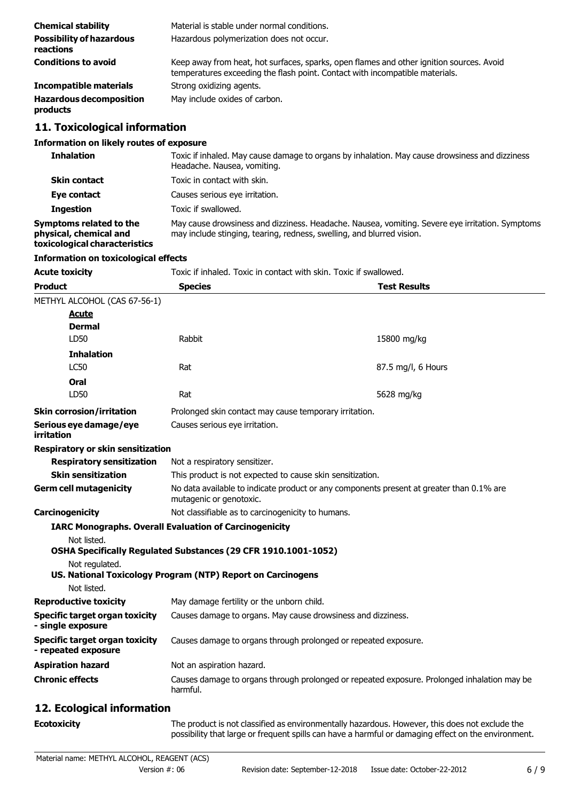| <b>Chemical stability</b>                    | Material is stable under normal conditions.                                                                                                                              |
|----------------------------------------------|--------------------------------------------------------------------------------------------------------------------------------------------------------------------------|
| <b>Possibility of hazardous</b><br>reactions | Hazardous polymerization does not occur.                                                                                                                                 |
| <b>Conditions to avoid</b>                   | Keep away from heat, hot surfaces, sparks, open flames and other ignition sources. Avoid<br>temperatures exceeding the flash point. Contact with incompatible materials. |
| <b>Incompatible materials</b>                | Strong oxidizing agents.                                                                                                                                                 |
| <b>Hazardous decomposition</b><br>products   | May include oxides of carbon.                                                                                                                                            |

#### **11. Toxicological information**

#### **Information on likely routes of exposure**

| <b>Inhalation</b>                                                                  | Toxic if inhaled. May cause damage to organs by inhalation. May cause drowsiness and dizziness<br>Headache. Nausea, vomiting.                                            |
|------------------------------------------------------------------------------------|--------------------------------------------------------------------------------------------------------------------------------------------------------------------------|
| <b>Skin contact</b>                                                                | Toxic in contact with skin.                                                                                                                                              |
| Eye contact                                                                        | Causes serious eye irritation.                                                                                                                                           |
| <b>Ingestion</b>                                                                   | Toxic if swallowed.                                                                                                                                                      |
| Symptoms related to the<br>physical, chemical and<br>toxicological characteristics | May cause drowsiness and dizziness. Headache. Nausea, vomiting. Severe eye irritation. Symptoms<br>may include stinging, tearing, redness, swelling, and blurred vision. |

#### **Information on toxicological effects**

**Acute toxicity** 

| <b>Product</b>                                               | <b>Species</b>                                                                                                      | <b>Test Results</b> |  |
|--------------------------------------------------------------|---------------------------------------------------------------------------------------------------------------------|---------------------|--|
| METHYL ALCOHOL (CAS 67-56-1)                                 |                                                                                                                     |                     |  |
| <b>Acute</b>                                                 |                                                                                                                     |                     |  |
| <b>Dermal</b>                                                |                                                                                                                     |                     |  |
| LD50                                                         | Rabbit                                                                                                              | 15800 mg/kg         |  |
| <b>Inhalation</b>                                            |                                                                                                                     |                     |  |
| <b>LC50</b>                                                  | Rat                                                                                                                 | 87.5 mg/l, 6 Hours  |  |
| Oral                                                         |                                                                                                                     |                     |  |
| LD50                                                         | Rat                                                                                                                 | 5628 mg/kg          |  |
| <b>Skin corrosion/irritation</b>                             | Prolonged skin contact may cause temporary irritation.                                                              |                     |  |
| Serious eye damage/eye<br>irritation                         | Causes serious eye irritation.                                                                                      |                     |  |
| Respiratory or skin sensitization                            |                                                                                                                     |                     |  |
| <b>Respiratory sensitization</b>                             | Not a respiratory sensitizer.                                                                                       |                     |  |
| <b>Skin sensitization</b>                                    | This product is not expected to cause skin sensitization.                                                           |                     |  |
| <b>Germ cell mutagenicity</b>                                | No data available to indicate product or any components present at greater than 0.1% are<br>mutagenic or genotoxic. |                     |  |
| <b>Carcinogenicity</b>                                       | Not classifiable as to carcinogenicity to humans.                                                                   |                     |  |
|                                                              | <b>IARC Monographs. Overall Evaluation of Carcinogenicity</b>                                                       |                     |  |
| Not listed.                                                  |                                                                                                                     |                     |  |
|                                                              | OSHA Specifically Regulated Substances (29 CFR 1910.1001-1052)                                                      |                     |  |
| Not regulated.                                               | US. National Toxicology Program (NTP) Report on Carcinogens                                                         |                     |  |
| Not listed.                                                  |                                                                                                                     |                     |  |
| <b>Reproductive toxicity</b>                                 | May damage fertility or the unborn child.                                                                           |                     |  |
| <b>Specific target organ toxicity</b><br>- single exposure   | Causes damage to organs. May cause drowsiness and dizziness.                                                        |                     |  |
| <b>Specific target organ toxicity</b><br>- repeated exposure | Causes damage to organs through prolonged or repeated exposure.                                                     |                     |  |
| <b>Aspiration hazard</b>                                     | Not an aspiration hazard.                                                                                           |                     |  |
| <b>Chronic effects</b>                                       | Causes damage to organs through prolonged or repeated exposure. Prolonged inhalation may be<br>harmful.             |                     |  |
|                                                              |                                                                                                                     |                     |  |

#### **12. Ecological information**

**Ecotoxicity** The product is not classified as environmentally hazardous. However, this does not exclude the possibility that large or frequent spills can have a harmful or damaging effect on the environment.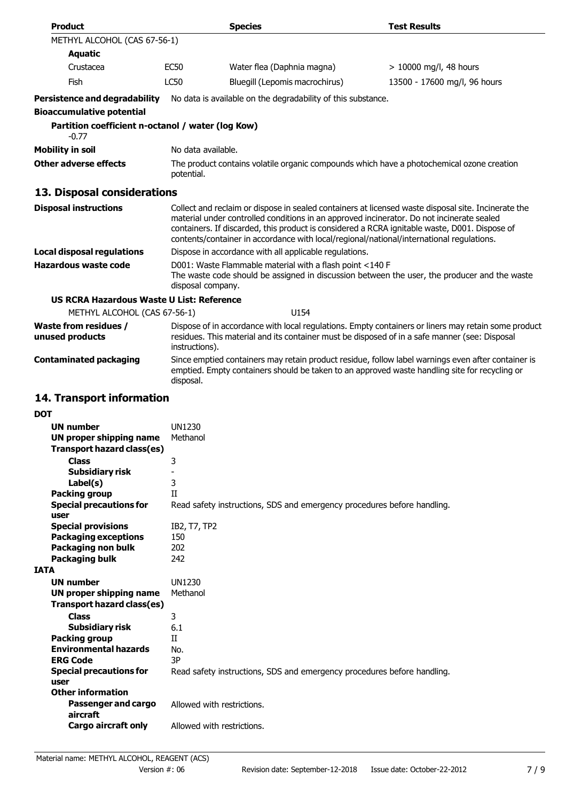| <b>Product</b>                                                            |                                                                                                                                                                                                                                                                                                                                                                                               | <b>Species</b>                                                          | <b>Test Results</b>                                                                                                                                                                                 |
|---------------------------------------------------------------------------|-----------------------------------------------------------------------------------------------------------------------------------------------------------------------------------------------------------------------------------------------------------------------------------------------------------------------------------------------------------------------------------------------|-------------------------------------------------------------------------|-----------------------------------------------------------------------------------------------------------------------------------------------------------------------------------------------------|
| METHYL ALCOHOL (CAS 67-56-1)                                              |                                                                                                                                                                                                                                                                                                                                                                                               |                                                                         |                                                                                                                                                                                                     |
| <b>Aquatic</b>                                                            |                                                                                                                                                                                                                                                                                                                                                                                               |                                                                         |                                                                                                                                                                                                     |
| Crustacea                                                                 | <b>EC50</b>                                                                                                                                                                                                                                                                                                                                                                                   | Water flea (Daphnia magna)                                              | $> 10000$ mg/l, 48 hours                                                                                                                                                                            |
|                                                                           |                                                                                                                                                                                                                                                                                                                                                                                               |                                                                         |                                                                                                                                                                                                     |
| Fish                                                                      | LC50                                                                                                                                                                                                                                                                                                                                                                                          | Bluegill (Lepomis macrochirus)                                          | 13500 - 17600 mg/l, 96 hours                                                                                                                                                                        |
| <b>Persistence and degradability</b>                                      |                                                                                                                                                                                                                                                                                                                                                                                               | No data is available on the degradability of this substance.            |                                                                                                                                                                                                     |
| <b>Bioaccumulative potential</b>                                          |                                                                                                                                                                                                                                                                                                                                                                                               |                                                                         |                                                                                                                                                                                                     |
| Partition coefficient n-octanol / water (log Kow)                         |                                                                                                                                                                                                                                                                                                                                                                                               |                                                                         |                                                                                                                                                                                                     |
| $-0.77$                                                                   |                                                                                                                                                                                                                                                                                                                                                                                               |                                                                         |                                                                                                                                                                                                     |
| <b>Mobility in soil</b>                                                   | No data available.                                                                                                                                                                                                                                                                                                                                                                            |                                                                         |                                                                                                                                                                                                     |
| <b>Other adverse effects</b>                                              | The product contains volatile organic compounds which have a photochemical ozone creation<br>potential.                                                                                                                                                                                                                                                                                       |                                                                         |                                                                                                                                                                                                     |
| 13. Disposal considerations                                               |                                                                                                                                                                                                                                                                                                                                                                                               |                                                                         |                                                                                                                                                                                                     |
| <b>Disposal instructions</b>                                              | Collect and reclaim or dispose in sealed containers at licensed waste disposal site. Incinerate the<br>material under controlled conditions in an approved incinerator. Do not incinerate sealed<br>containers. If discarded, this product is considered a RCRA ignitable waste, D001. Dispose of<br>contents/container in accordance with local/regional/national/international regulations. |                                                                         |                                                                                                                                                                                                     |
| <b>Local disposal regulations</b>                                         |                                                                                                                                                                                                                                                                                                                                                                                               | Dispose in accordance with all applicable regulations.                  |                                                                                                                                                                                                     |
| <b>Hazardous waste code</b>                                               | D001: Waste Flammable material with a flash point <140 F<br>The waste code should be assigned in discussion between the user, the producer and the waste<br>disposal company.                                                                                                                                                                                                                 |                                                                         |                                                                                                                                                                                                     |
| <b>US RCRA Hazardous Waste U List: Reference</b>                          |                                                                                                                                                                                                                                                                                                                                                                                               |                                                                         |                                                                                                                                                                                                     |
| METHYL ALCOHOL (CAS 67-56-1)                                              |                                                                                                                                                                                                                                                                                                                                                                                               | U154                                                                    |                                                                                                                                                                                                     |
| <b>Waste from residues /</b><br>unused products                           | Dispose of in accordance with local regulations. Empty containers or liners may retain some product<br>residues. This material and its container must be disposed of in a safe manner (see: Disposal<br>instructions).                                                                                                                                                                        |                                                                         |                                                                                                                                                                                                     |
| <b>Contaminated packaging</b>                                             | disposal.                                                                                                                                                                                                                                                                                                                                                                                     |                                                                         | Since emptied containers may retain product residue, follow label warnings even after container is<br>emptied. Empty containers should be taken to an approved waste handling site for recycling or |
| 14. Transport information                                                 |                                                                                                                                                                                                                                                                                                                                                                                               |                                                                         |                                                                                                                                                                                                     |
| <b>DOT</b>                                                                |                                                                                                                                                                                                                                                                                                                                                                                               |                                                                         |                                                                                                                                                                                                     |
| <b>UN number</b>                                                          | <b>UN1230</b>                                                                                                                                                                                                                                                                                                                                                                                 |                                                                         |                                                                                                                                                                                                     |
| UN proper shipping name                                                   | Methanol                                                                                                                                                                                                                                                                                                                                                                                      |                                                                         |                                                                                                                                                                                                     |
| <b>Transport hazard class(es)</b>                                         |                                                                                                                                                                                                                                                                                                                                                                                               |                                                                         |                                                                                                                                                                                                     |
| Class                                                                     | 3                                                                                                                                                                                                                                                                                                                                                                                             |                                                                         |                                                                                                                                                                                                     |
| <b>Subsidiary risk</b>                                                    | $\bar{\phantom{a}}$                                                                                                                                                                                                                                                                                                                                                                           |                                                                         |                                                                                                                                                                                                     |
| Label(s)                                                                  | 3                                                                                                                                                                                                                                                                                                                                                                                             |                                                                         |                                                                                                                                                                                                     |
| <b>Packing group</b>                                                      | $\mathbf{I}$                                                                                                                                                                                                                                                                                                                                                                                  |                                                                         |                                                                                                                                                                                                     |
| <b>Special precautions for</b><br>user                                    |                                                                                                                                                                                                                                                                                                                                                                                               | Read safety instructions, SDS and emergency procedures before handling. |                                                                                                                                                                                                     |
| <b>Special provisions</b>                                                 | IB2, T7, TP2                                                                                                                                                                                                                                                                                                                                                                                  |                                                                         |                                                                                                                                                                                                     |
| <b>Packaging exceptions</b>                                               | 150                                                                                                                                                                                                                                                                                                                                                                                           |                                                                         |                                                                                                                                                                                                     |
| Packaging non bulk                                                        | 202                                                                                                                                                                                                                                                                                                                                                                                           |                                                                         |                                                                                                                                                                                                     |
| <b>Packaging bulk</b>                                                     | 242                                                                                                                                                                                                                                                                                                                                                                                           |                                                                         |                                                                                                                                                                                                     |
| <b>IATA</b>                                                               |                                                                                                                                                                                                                                                                                                                                                                                               |                                                                         |                                                                                                                                                                                                     |
| <b>UN number</b><br>UN proper shipping name<br>Transport hazard class(es) | <b>UN1230</b><br>Methanol                                                                                                                                                                                                                                                                                                                                                                     |                                                                         |                                                                                                                                                                                                     |
| <b>Class</b>                                                              | 3                                                                                                                                                                                                                                                                                                                                                                                             |                                                                         |                                                                                                                                                                                                     |
| Subsidiary risk                                                           | 6.1                                                                                                                                                                                                                                                                                                                                                                                           |                                                                         |                                                                                                                                                                                                     |
| <b>Packing group</b>                                                      | П                                                                                                                                                                                                                                                                                                                                                                                             |                                                                         |                                                                                                                                                                                                     |
| <b>Environmental hazards</b>                                              | No.                                                                                                                                                                                                                                                                                                                                                                                           |                                                                         |                                                                                                                                                                                                     |
| <b>ERG Code</b>                                                           | 3P                                                                                                                                                                                                                                                                                                                                                                                            |                                                                         |                                                                                                                                                                                                     |
| <b>Special precautions for</b><br>user                                    |                                                                                                                                                                                                                                                                                                                                                                                               | Read safety instructions, SDS and emergency procedures before handling. |                                                                                                                                                                                                     |
| <b>Other information</b>                                                  |                                                                                                                                                                                                                                                                                                                                                                                               |                                                                         |                                                                                                                                                                                                     |
| <b>Passenger and cargo</b><br>aircraft                                    |                                                                                                                                                                                                                                                                                                                                                                                               | Allowed with restrictions.                                              |                                                                                                                                                                                                     |
| <b>Cargo aircraft only</b>                                                |                                                                                                                                                                                                                                                                                                                                                                                               | Allowed with restrictions.                                              |                                                                                                                                                                                                     |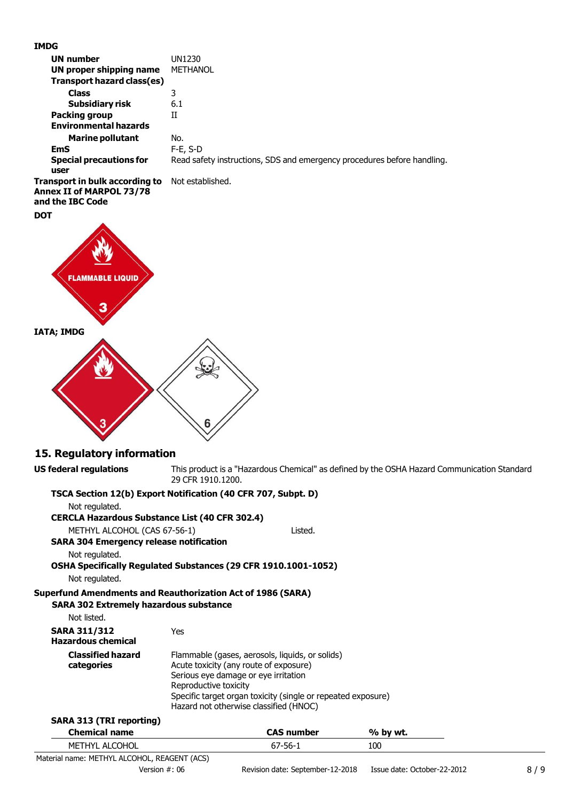**UN number** UN1230 **UN proper shipping name METHANOL Transport hazard class(es) Class** 3 **Subsidiary risk** 6.1 **Packing group** II **Environmental hazards Marine pollutant** No. **EmS** F-E, S-D **Special precautions for** Read safety instructions, SDS and emergency procedures before handling. **user Transport in bulk according to** Not established. **Annex II of MARPOL 73/78 and the IBC Code DOT FLAMMABLE LIQUID IATA; IMDG 15. Regulatory information US federal regulations** This product is a "Hazardous Chemical" as defined by the OSHA Hazard Communication Standard 29 CFR 1910.1200. **TSCA Section 12(b) Export Notification (40 CFR 707, Subpt. D)** Not regulated. **CERCLA Hazardous Substance List (40 CFR 302.4)** METHYL ALCOHOL (CAS 67-56-1) Listed. **SARA 304 Emergency release notification** Not regulated. **OSHA Specifically Regulated Substances (29 CFR 1910.1001-1052)** Not regulated. **Superfund Amendments and Reauthorization Act of 1986 (SARA) SARA 302 Extremely hazardous substance** Not listed. **SARA 311/312** Yes **Hazardous chemical** Flammable (gases, aerosols, liquids, or solids) **Classified hazard categories** Acute toxicity (any route of exposure) Serious eye damage or eye irritation Reproductive toxicity Specific target organ toxicity (single or repeated exposure)

| <b>SARA 313 (TRI reporting)</b> |                   |          |
|---------------------------------|-------------------|----------|
| <b>Chemical name</b>            | <b>CAS number</b> | % by wt. |
| METHYL ALCOHOL                  | $67 - 56 - 1$     | 100      |

Hazard not otherwise classified (HNOC)

**IMDG**